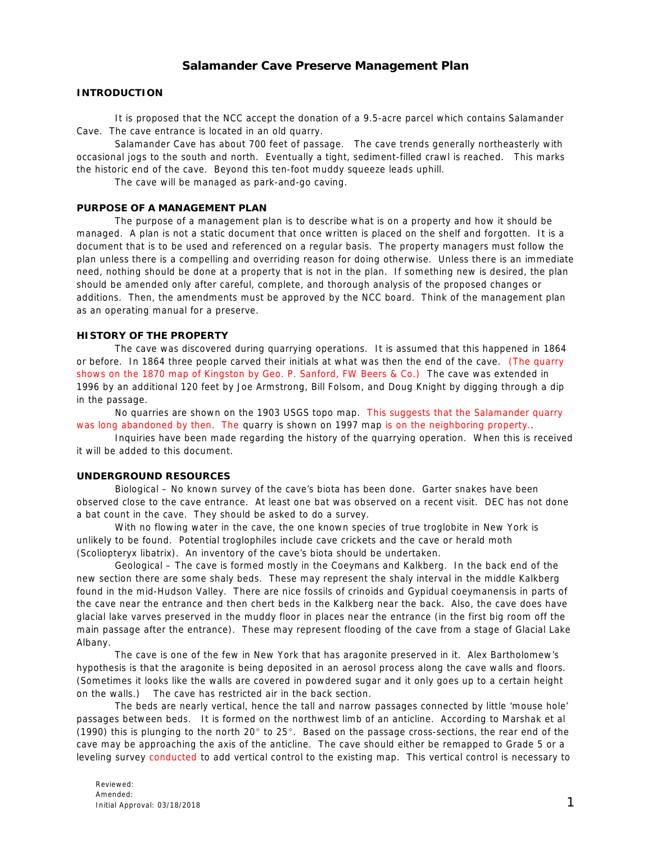# **Salamander Cave Preserve Management Plan**

#### **INTRODUCTION**

It is proposed that the NCC accept the donation of a 9.5-acre parcel which contains Salamander Cave. The cave entrance is located in an old quarry.

Salamander Cave has about 700 feet of passage. The cave trends generally northeasterly with occasional jogs to the south and north. Eventually a tight, sediment-filled crawl is reached. This marks the historic end of the cave. Beyond this ten-foot muddy squeeze leads uphill.

The cave will be managed as park-and-go caving.

#### **PURPOSE OF A MANAGEMENT PLAN**

The purpose of a management plan is to describe what is on a property and how it should be managed. A plan is not a static document that once written is placed on the shelf and forgotten. It is a document that is to be used and referenced on a regular basis. The property managers must follow the plan unless there is a compelling and overriding reason for doing otherwise. Unless there is an immediate need, nothing should be done at a property that is not in the plan. If something new is desired, the plan should be amended only after careful, complete, and thorough analysis of the proposed changes or additions. Then, the amendments must be approved by the NCC board. Think of the management plan as an operating manual for a preserve.

## **HISTORY OF THE PROPERTY**

The cave was discovered during quarrying operations. It is assumed that this happened in 1864 or before. In 1864 three people carved their initials at what was then the end of the cave. (The quarry shows on the 1870 map of Kingston by Geo. P. Sanford, FW Beers & Co.) The cave was extended in 1996 by an additional 120 feet by Joe Armstrong, Bill Folsom, and Doug Knight by digging through a dip in the passage.

No quarries are shown on the 1903 USGS topo map. This suggests that the Salamander quarry was long abandoned by then. The quarry is shown on 1997 map is on the neighboring property..

Inquiries have been made regarding the history of the quarrying operation. When this is received it will be added to this document.

#### **UNDERGROUND RESOURCES**

*Biological* – No known survey of the cave's biota has been done. Garter snakes have been observed close to the cave entrance. At least one bat was observed on a recent visit. DEC has not done a bat count in the cave. They should be asked to do a survey.

With no flowing water in the cave, the one known species of true troglobite in New York is unlikely to be found. Potential troglophiles include cave crickets and the cave or herald moth (*Scoliopteryx libatrix*). An inventory of the cave's biota should be undertaken.

*Geological* – The cave is formed mostly in the Coeymans and Kalkberg. In the back end of the new section there are some shaly beds. These may represent the shaly interval in the middle Kalkberg found in the mid-Hudson Valley. There are nice fossils of crinoids and *Gypidual coeymanensis* in parts of the cave near the entrance and then chert beds in the Kalkberg near the back. Also, the cave does have glacial lake varves preserved in the muddy floor in places near the entrance (in the first big room off the main passage after the entrance). These may represent flooding of the cave from a stage of Glacial Lake Albany.

The cave is one of the few in New York that has aragonite preserved in it. Alex Bartholomew's hypothesis is that the aragonite is being deposited in an aerosol process along the cave walls and floors. (Sometimes it looks like the walls are covered in powdered sugar and it only goes up to a certain height on the walls.) The cave has restricted air in the back section.

The beds are nearly vertical, hence the tall and narrow passages connected by little 'mouse hole' passages between beds. It is formed on the northwest limb of an anticline. According to Marshak *et al* (1990) this is plunging to the north 20 $^{\circ}$  to 25 $^{\circ}$ . Based on the passage cross-sections, the rear end of the cave may be approaching the axis of the anticline. The cave should either be remapped to Grade 5 or a leveling survey conducted to add vertical control to the existing map. This vertical control is necessary to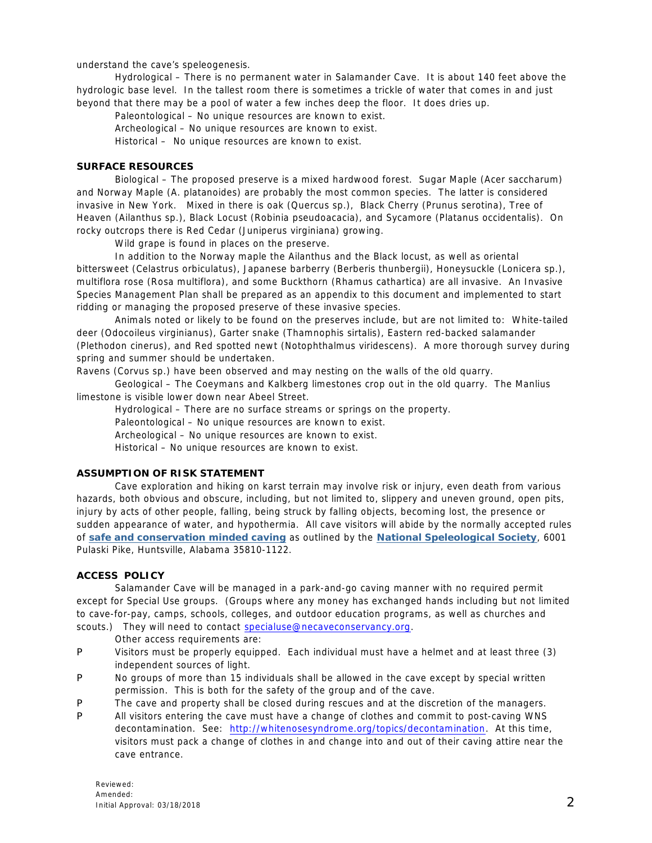understand the cave's speleogenesis.

*Hydrological* – There is no permanent water in Salamander Cave. It is about 140 feet above the hydrologic base level. In the tallest room there is sometimes a trickle of water that comes in and just beyond that there may be a pool of water a few inches deep the floor. It does dries up.

*Paleontological* – No unique resources are known to exist.

*Archeological* – No unique resources are known to exist.

*Historical* – No unique resources are known to exist.

#### **SURFACE RESOURCES**

*Biological* – The proposed preserve is a mixed hardwood forest. Sugar Maple (*Acer saccharum*) and Norway Maple (*A. platanoides*) are probably the most common species. The latter is considered invasive in New York. Mixed in there is oak (*Quercus* sp.), Black Cherry (*Prunus serotina*), Tree of Heaven (*Ailanthus* sp.), Black Locust (*Robinia pseudoacacia*), and Sycamore (*Platanus occidentalis*). On rocky outcrops there is Red Cedar (*Juniperus virginiana*) growing.

Wild grape is found in places on the preserve.

In addition to the Norway maple the Ailanthus and the Black locust, as well as oriental bittersweet (*Celastrus orbiculatus*), Japanese barberry (*Berberis thunbergii*), Honeysuckle (*Lonicera* sp.), multiflora rose (*Rosa multiflora*), and some Buckthorn (*Rhamus cathartica*) are all invasive. An Invasive Species Management Plan shall be prepared as an appendix to this document and implemented to start ridding or managing the proposed preserve of these invasive species.

Animals noted or likely to be found on the preserves include, but are not limited to: White-tailed deer (*Odocoileus virginianus*), Garter snake (*Thamnophis sirtalis*), Eastern red-backed salamander (*Plethodon cinerus*), and Red spotted newt (*Notophthalmus viridescens*). A more thorough survey during spring and summer should be undertaken.

Ravens (*Corvus* sp.) have been observed and may nesting on the walls of the old quarry.

*Geological* – The Coeymans and Kalkberg limestones crop out in the old quarry. The Manlius limestone is visible lower down near Abeel Street.

*Hydrological* – There are no surface streams or springs on the property.

*Paleontological* – No unique resources are known to exist.

*Archeological* – No unique resources are known to exist.

*Historical* – No unique resources are known to exist.

## **ASSUMPTION OF RISK STATEMENT**

Cave exploration and hiking on karst terrain may involve risk or injury, even death from various hazards, both obvious and obscure, including, but not limited to, slippery and uneven ground, open pits, injury by acts of other people, falling, being struck by falling objects, becoming lost, the presence or sudden appearance of water, and hypothermia. All cave visitors will abide by the normally accepted rules of **safe and [conservation](http://www.caves.org/brochure/NSS%20Guide%20Color%20809.pdf) minded caving** as outlined by the **National [Speleological](http://www.caves.org/) Society**, 6001 Pulaski Pike, Huntsville, Alabama 35810-1122.

## **ACCESS POLICY**

Salamander Cave will be managed in a park-and-go caving manner with no required permit except for Special Use groups. (Groups where any money has exchanged hands including but not limited to cave-for-pay, camps, schools, colleges, and outdoor education programs, as well as churches and scouts.) They will need to contact [specialuse@necaveconservancy.org](mailto:specialuse@necaveconservancy.org).

Other access requirements are:

- P Visitors must be properly equipped. Each individual must have a helmet and at least three (3) independent sources of light.
- P No groups of more than 15 individuals shall be allowed in the cave except by special written permission. This is both for the safety of the group and of the cave.
- P The cave and property shall be closed during rescues and at the discretion of the managers.
- P All visitors entering the cave must have a change of clothes and commit to post-caving WNS decontamination. See: <http://whitenosesyndrome.org/topics/decontamination>. At this time, visitors must pack a change of clothes in and change into and out of their caving attire near the cave entrance.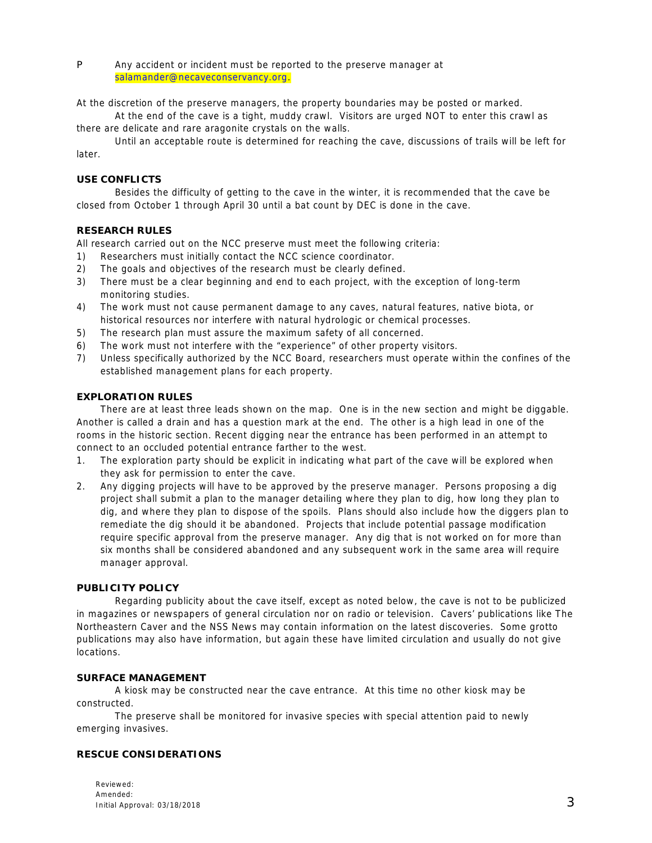P Any accident or incident must be reported to the preserve manager at [salamander@necaveconservancy.org](mailto:salamander@necaveconservancy.org).

At the discretion of the preserve managers, the property boundaries may be posted or marked.

At the end of the cave is a tight, muddy crawl. Visitors are urged NOT to enter this crawl as there are delicate and rare aragonite crystals on the walls.

Until an acceptable route is determined for reaching the cave, discussions of trails will be left for later.

#### **USE CONFLICTS**

Besides the difficulty of getting to the cave in the winter, it is recommended that the cave be closed from October 1 through April 30 until a bat count by DEC is done in the cave.

#### **RESEARCH RULES**

All research carried out on the NCC preserve must meet the following criteria:

- 1) Researchers must initially contact the NCC science coordinator.
- 2) The goals and objectives of the research must be clearly defined.
- 3) There must be a clear beginning and end to each project, with the exception of long-term monitoring studies.
- 4) The work must not cause permanent damage to any caves, natural features, native biota, or historical resources nor interfere with natural hydrologic or chemical processes.
- 5) The research plan must assure the maximum safety of all concerned.
- 6) The work must not interfere with the "experience" of other property visitors.
- 7) Unless specifically authorized by the NCC Board, researchers must operate within the confines of the established management plans for each property.

#### **EXPLORATION RULES**

There are at least three leads shown on the map. One is in the new section and might be diggable. Another is called a drain and has a question mark at the end. The other is a high lead in one of the rooms in the historic section. Recent digging near the entrance has been performed in an attempt to connect to an occluded potential entrance farther to the west.

- 1. The exploration party should be explicit in indicating what part of the cave will be explored when they ask for permission to enter the cave.
- 2. Any digging projects will have to be approved by the preserve manager. Persons proposing a dig project shall submit a plan to the manager detailing where they plan to dig, how long they plan to dig, and where they plan to dispose of the spoils. Plans should also include how the diggers plan to remediate the dig should it be abandoned. Projects that include potential passage modification require specific approval from the preserve manager. Any dig that is not worked on for more than six months shall be considered abandoned and any subsequent work in the same area will require manager approval.

#### **PUBLICITY POLICY**

Regarding publicity about the cave itself, except as noted below, the cave is not to be publicized in magazines or newspapers of general circulation nor on radio or television. Cavers' publications like *The Northeastern Caver* and the *NSS News* may contain information on the latest discoveries. Some grotto publications may also have information, but again these have limited circulation and usually do not give locations.

#### **SURFACE MANAGEMENT**

A kiosk may be constructed near the cave entrance. At this time no other kiosk may be constructed.

The preserve shall be monitored for invasive species with special attention paid to newly emerging invasives.

#### **RESCUE CONSIDERATIONS**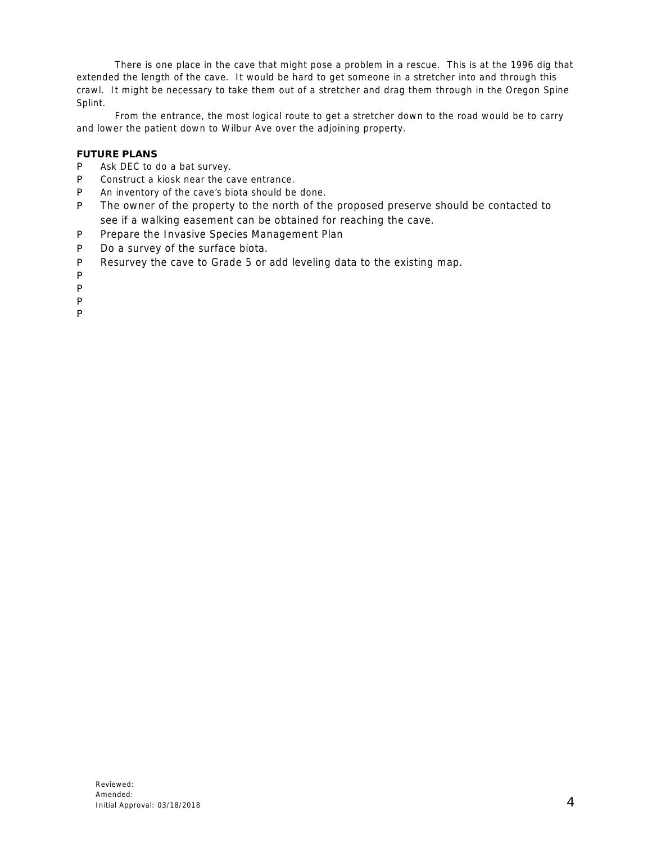There is one place in the cave that might pose a problem in a rescue. This is at the 1996 dig that extended the length of the cave. It would be hard to get someone in a stretcher into and through this crawl. It might be necessary to take them out of a stretcher and drag them through in the Oregon Spine Splint.

From the entrance, the most logical route to get a stretcher down to the road would be to carry and lower the patient down to Wilbur Ave over the adjoining property.

## **FUTURE PLANS**

- P Ask DEC to do a bat survey.
- P Construct a kiosk near the cave entrance.
- P An inventory of the cave's biota should be done.
- P The owner of the property to the north of the proposed preserve should be contacted to see if a walking easement can be obtained for reaching the cave.
- P Prepare the *Invasive Species Management Plan*
- P Do a survey of the surface biota.
- P Resurvey the cave to Grade 5 or add leveling data to the existing map.
- P

P

P

P